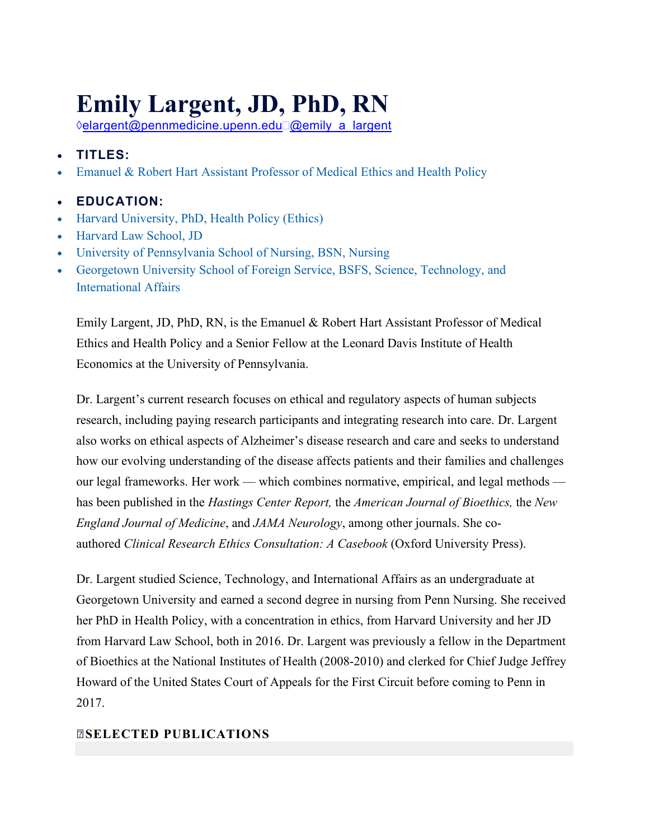## **Emily Largent, JD, PhD, RN**

**<b>⊘[elargent@pennmedicine.upenn.edu](mailto:elargent@pennmedicine.upenn.edu)** [@emily\\_a\\_largent](http://twitter.com/emily_a_largent)

- **TITLES:**
- Emanuel & Robert Hart Assistant Professor of Medical Ethics and Health Policy

## • **EDUCATION:**

- Harvard University, PhD, Health Policy (Ethics)
- Harvard Law School, JD
- University of Pennsylvania School of Nursing, BSN, Nursing
- Georgetown University School of Foreign Service, BSFS, Science, Technology, and International Affairs

Emily Largent, JD, PhD, RN, is the Emanuel & Robert Hart Assistant Professor of Medical Ethics and Health Policy and a Senior Fellow at the Leonard Davis Institute of Health Economics at the University of Pennsylvania.

Dr. Largent's current research focuses on ethical and regulatory aspects of human subjects research, including paying research participants and integrating research into care. Dr. Largent also works on ethical aspects of Alzheimer's disease research and care and seeks to understand how our evolving understanding of the disease affects patients and their families and challenges our legal frameworks. Her work — which combines normative, empirical, and legal methods has been published in the *Hastings Center Report,* the *American Journal of Bioethics,* the *New England Journal of Medicine*, and *JAMA Neurology*, among other journals. She coauthored *Clinical Research Ethics Consultation: A Casebook* (Oxford University Press).

Dr. Largent studied Science, Technology, and International Affairs as an undergraduate at Georgetown University and earned a second degree in nursing from Penn Nursing. She received her PhD in Health Policy, with a concentration in ethics, from Harvard University and her JD from Harvard Law School, both in 2016. Dr. Largent was previously a fellow in the Department of Bioethics at the National Institutes of Health (2008-2010) and clerked for Chief Judge Jeffrey Howard of the United States Court of Appeals for the First Circuit before coming to Penn in 2017.

## **[SELECTED PUBLICATIONS](https://ascopubs.org/doi/full/10.1200/JCO.19.00250)**